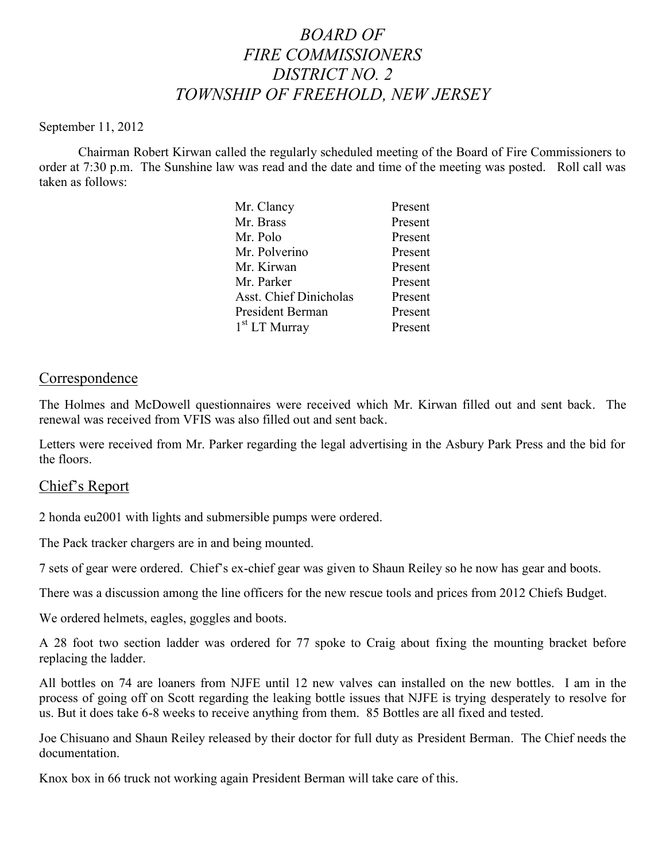# *BOARD OF FIRE COMMISSIONERS DISTRICT NO. 2 TOWNSHIP OF FREEHOLD, NEW JERSEY*

#### September 11, 2012

Chairman Robert Kirwan called the regularly scheduled meeting of the Board of Fire Commissioners to order at 7:30 p.m. The Sunshine law was read and the date and time of the meeting was posted. Roll call was taken as follows:

| Mr. Clancy                    | Present |
|-------------------------------|---------|
| Mr. Brass                     | Present |
| Mr. Polo                      | Present |
| Mr. Polverino                 | Present |
| Mr. Kirwan                    | Present |
| Mr. Parker                    | Present |
| <b>Asst. Chief Dinicholas</b> | Present |
| President Berman              | Present |
| $1st$ LT Murray               | Present |
|                               |         |

#### Correspondence

The Holmes and McDowell questionnaires were received which Mr. Kirwan filled out and sent back. The renewal was received from VFIS was also filled out and sent back.

Letters were received from Mr. Parker regarding the legal advertising in the Asbury Park Press and the bid for the floors.

#### Chief's Report

2 honda eu2001 with lights and submersible pumps were ordered.

The Pack tracker chargers are in and being mounted.

7 sets of gear were ordered. Chief's ex-chief gear was given to Shaun Reiley so he now has gear and boots.

There was a discussion among the line officers for the new rescue tools and prices from 2012 Chiefs Budget.

We ordered helmets, eagles, goggles and boots.

A 28 foot two section ladder was ordered for 77 spoke to Craig about fixing the mounting bracket before replacing the ladder.

All bottles on 74 are loaners from NJFE until 12 new valves can installed on the new bottles. I am in the process of going off on Scott regarding the leaking bottle issues that NJFE is trying desperately to resolve for us. But it does take 6-8 weeks to receive anything from them. 85 Bottles are all fixed and tested.

Joe Chisuano and Shaun Reiley released by their doctor for full duty as President Berman. The Chief needs the documentation.

Knox box in 66 truck not working again President Berman will take care of this.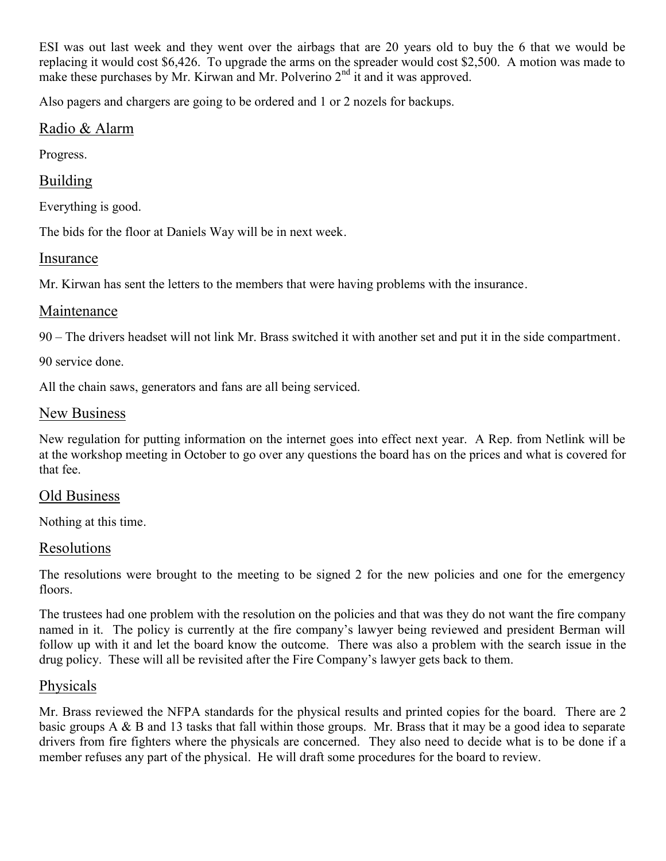ESI was out last week and they went over the airbags that are 20 years old to buy the 6 that we would be replacing it would cost \$6,426. To upgrade the arms on the spreader would cost \$2,500. A motion was made to make these purchases by Mr. Kirwan and Mr. Polverino  $2<sup>nd</sup>$  it and it was approved.

Also pagers and chargers are going to be ordered and 1 or 2 nozels for backups.

# Radio & Alarm

Progress.

# Building

Everything is good.

The bids for the floor at Daniels Way will be in next week.

#### Insurance

Mr. Kirwan has sent the letters to the members that were having problems with the insurance.

# Maintenance

90 – The drivers headset will not link Mr. Brass switched it with another set and put it in the side compartment.

90 service done.

All the chain saws, generators and fans are all being serviced.

#### New Business

New regulation for putting information on the internet goes into effect next year. A Rep. from Netlink will be at the workshop meeting in October to go over any questions the board has on the prices and what is covered for that fee.

# Old Business

Nothing at this time.

# **Resolutions**

The resolutions were brought to the meeting to be signed 2 for the new policies and one for the emergency floors.

The trustees had one problem with the resolution on the policies and that was they do not want the fire company named in it. The policy is currently at the fire company's lawyer being reviewed and president Berman will follow up with it and let the board know the outcome. There was also a problem with the search issue in the drug policy. These will all be revisited after the Fire Company's lawyer gets back to them.

# Physicals

Mr. Brass reviewed the NFPA standards for the physical results and printed copies for the board. There are 2 basic groups A & B and 13 tasks that fall within those groups. Mr. Brass that it may be a good idea to separate drivers from fire fighters where the physicals are concerned. They also need to decide what is to be done if a member refuses any part of the physical. He will draft some procedures for the board to review.